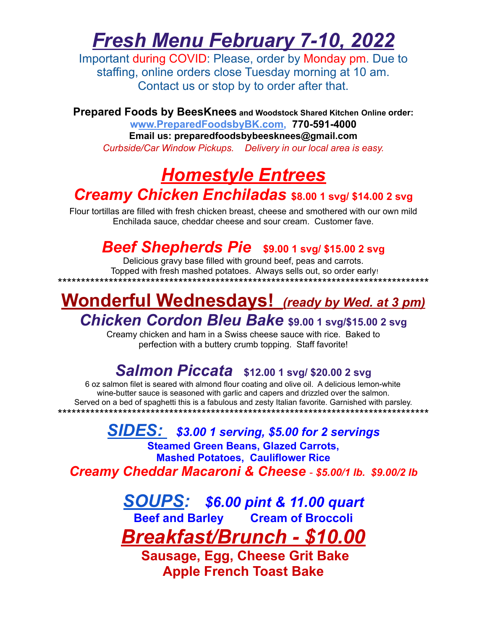# *Fresh Menu February 7-10, 2022*

Important during COVID: Please, order by Monday pm. Due to staffing, online orders close Tuesday morning at 10 am. Contact us or stop by to order after that.

**Prepared Foods by BeesKnees and Woodstock Shared Kitchen Online order: w[ww.PreparedFoodsbyBK.com,](http://www.preparedfoodsbybk.com) 770-591-4000 Email us: preparedfoodsbybeesknees@gmail.com** *Curbside/Car Window Pickups. Delivery in our local area is easy.*

## *Homestyle Entrees Creamy Chicken Enchiladas* **\$8.00 <sup>1</sup> svg/ \$14.00 <sup>2</sup> svg**

Flour tortillas are filled with fresh chicken breast, cheese and smothered with our own mild Enchilada sauce, cheddar cheese and sour cream. Customer fave.

## *Beef Shepherds Pie* **\$9.00 <sup>1</sup> svg/ \$15.00 <sup>2</sup> svg**

Delicious gravy base filled with ground beef, peas and carrots. Topped with fresh mashed potatoes. Always sells out, so order early! \*\*\*\*\*\*\*\*\*\*\*\*\*\*\*\*\*\*\*\*\*\*\*\*\*\*\*\*\*\*\*\*\*\*\*\*\*\*\*\*\*\*\*\*\*\*\*\*\*\*\*\*\*\*\*\*\*\*\*\*\*\*\*\*\*\*\*\*\*\*\*\*\*\*\*\*\*\*\*\*

### **Wonderful Wednesdays!** *(ready by Wed. at <sup>3</sup> pm) Chicken Cordon Bleu Bake* **\$9.00 <sup>1</sup> svg/\$15.00 <sup>2</sup> svg**

Creamy chicken and ham in a Swiss cheese sauce with rice. Baked to perfection with a buttery crumb topping. Staff favorite!

### *Salmon Piccata* **\$12.00 <sup>1</sup> svg/ \$20.00 <sup>2</sup> svg**

6 oz salmon filet is seared with almond flour coating and olive oil. A delicious lemon-white wine-butter sauce is seasoned with garlic and capers and drizzled over the salmon. Served on a bed of spaghetti this is a fabulous and zesty Italian favorite. Garnished with parsley. \*\*\*\*\*\*\*\*\*\*\*\*\*\*\*\*\*\*\*\*\*\*\*\*\*\*\*\*\*\*\*\*\*\*\*\*\*\*\*\*\*\*\*\*\*\*\*\*\*\*\*\*\*\*\*\*\*\*\*\*\*\*\*\*\*\*\*\*\*\*\*\*\*\*\*\*\*\*\*\*

*SIDES: \$3.00 1 serving, \$5.00 for 2 servings* **Steamed Green Beans, Glazed Carrots, Mashed Potatoes, Cauliflower Rice** *Creamy Cheddar Macaroni & Cheese* - *\$5.00/1 lb. \$9.00/2 lb*

> *SOUPS: \$6.00 pint & 11.00 quart* **Beef and Barley Cream of Broccoli** *Breakfast/Brunch - \$10.00*

**Sausage, Egg, Cheese Grit Bake Apple French Toast Bake**